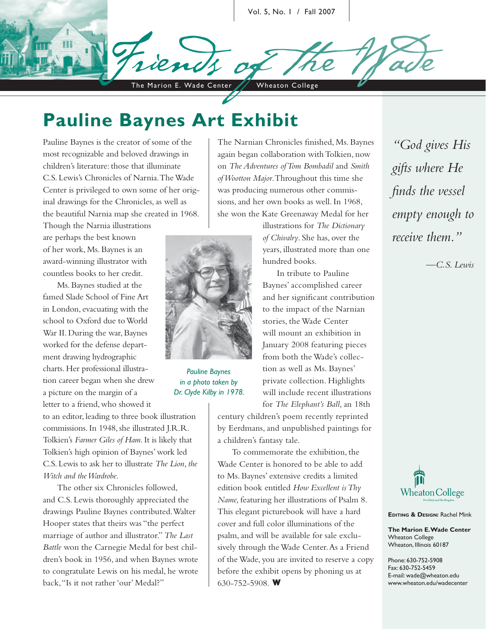Vol. 5, No. 1 / Fall 2007

The Marion E. Wade Center / Wheaton College

## **Pauline Baynes Art Exhibit**

Pauline Baynes is the creator of some of the most recognizable and beloved drawings in children's literature: those that illuminate C.S. Lewis's Chronicles of Narnia. The Wade Center is privileged to own some of her original drawings for the Chronicles, as well as the beautiful Narnia map she created in 1968. Though the Narnia illustrations

are perhaps the best known of her work, Ms. Baynes is an award-winning illustrator with countless books to her credit.

Ms. Baynes studied at the famed Slade School of Fine Art in London, evacuating with the school to Oxford due to World War II. During the war, Baynes worked for the defense department drawing hydrographic charts. Her professional illustration career began when she drew a picture on the margin of a letter to a friend, who showed it

to an editor, leading to three book illustration commissions. In 1948, she illustrated J.R.R. Tolkien's *Farmer Giles of Ham*. It is likely that Tolkien's high opinion of Baynes' work led C.S. Lewis to ask her to illustrate *The Lion, the Witch and the Wardrobe*.

The other six Chronicles followed, and C.S. Lewis thoroughly appreciated the drawings Pauline Baynes contributed. Walter Hooper states that theirs was "the perfect marriage of author and illustrator." *The Last Battle* won the Carnegie Medal for best children's book in 1956, and when Baynes wrote to congratulate Lewis on his medal, he wrote back, "Is it not rather 'our' Medal?"

The Narnian Chronicles finished, Ms. Baynes again began collaboration with Tolkien, now on *The Adventures of Tom Bombadil* and *Smith of Wootton Major*. Throughout this time she was producing numerous other commissions, and her own books as well. In 1968, she won the Kate Greenaway Medal for her

hundred books.

illustrations for *The Dictionary of Chivalry*. She has, over the years, illustrated more than one

In tribute to Pauline Baynes' accomplished career and her significant contribution to the impact of the Narnian stories, the Wade Center will mount an exhibition in January 2008 featuring pieces from both the Wade's collection as well as Ms. Baynes' private collection. Highlights



*Pauline Baynes in a photo taken by Dr. Clyde Kilby in 1978.*

will include recent illustrations for *The Elephant's Ball*, an 18th century children's poem recently reprinted by Eerdmans, and unpublished paintings for

a children's fantasy tale.

To commemorate the exhibition, the Wade Center is honored to be able to add to Ms. Baynes' extensive credits a limited edition book entitled *How Excellent is Thy Name,* featuring her illustrations of Psalm 8. This elegant picturebook will have a hard cover and full color illuminations of the psalm, and will be available for sale exclusively through the Wade Center. As a Friend of the Wade, you are invited to reserve a copy before the exhibit opens by phoning us at 630-752-5908. **W**

*"God gives His gifts where He finds the vessel empty enough to receive them."*

*—C.S. Lewis*



**EDITING & DESIGN:** Rachel Mink

**The Marion E. Wade Center** Wheaton College Wheaton, Illinois 60187

Phone: 630-752-5908 Fax: 630-752-5459 E-mail: wade@wheaton.edu www.wheaton.edu/wadecenter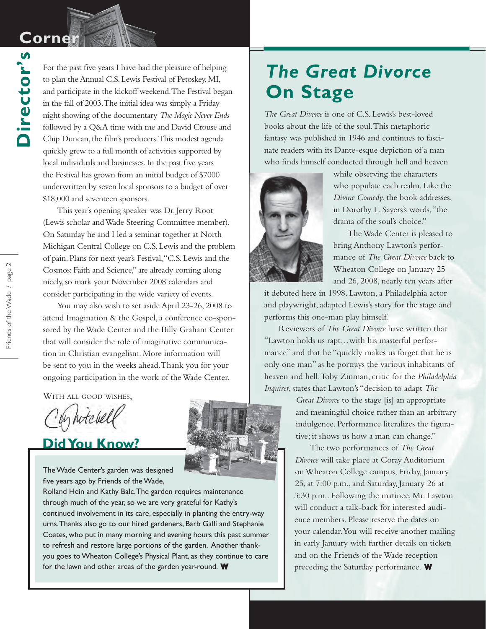## **Corner Corner**

**Director's**

Director's

For the past five years I have had the pleasure of helping to plan the Annual C.S. Lewis Festival of Petoskey, MI, and participate in the kickoff weekend. The Festival began in the fall of 2003. The initial idea was simply a Friday night showing of the documentary *The Magic Never Ends* followed by a Q&A time with me and David Crouse and Chip Duncan, the film's producers. This modest agenda quickly grew to a full month of activities supported by local individuals and businesses. In the past five years the Festival has grown from an initial budget of \$7000 underwritten by seven local sponsors to a budget of over \$18,000 and seventeen sponsors.

This year's opening speaker was Dr. Jerry Root (Lewis scholar and Wade Steering Committee member). On Saturday he and I led a seminar together at North Michigan Central College on C.S. Lewis and the problem of pain. Plans for next year's Festival, "C.S. Lewis and the Cosmos: Faith and Science," are already coming along nicely, so mark your November 2008 calendars and consider participating in the wide variety of events.

You may also wish to set aside April 23-26, 2008 to attend Imagination & the Gospel, a conference co-sponsored by the Wade Center and the Billy Graham Center that will consider the role of imaginative communication in Christian evangelism. More information will be sent to you in the weeks ahead. Thank you for your ongoing participation in the work of the Wade Center.

WITH ALL GOOD WISHES,

In hitchelf

### **Did You Know?**

The Wade Center's garden was designed five years ago by Friends of the Wade,

Rolland Hein and Kathy Balc. The garden requires maintenance through much of the year, so we are very grateful for Kathy's continued involvement in its care, especially in planting the entry-way urns. Thanks also go to our hired gardeners, Barb Galli and Stephanie Coates, who put in many morning and evening hours this past summer to refresh and restore large portions of the garden. Another thankyou goes to Wheaton College's Physical Plant, as they continue to care for the lawn and other areas of the garden year-round.  $\mathbf W$ 



*The Great Divorce* is one of C.S. Lewis's best-loved books about the life of the soul. This metaphoric fantasy was published in 1946 and continues to fascinate readers with its Dante-esque depiction of a man who finds himself conducted through hell and heaven



while observing the characters who populate each realm. Like the *Divine Comedy*, the book addresses, in Dorothy L. Sayers's words, "the drama of the soul's choice."

The Wade Center is pleased to bring Anthony Lawton's performance of *The Great Divorce* back to Wheaton College on January 25 and 26, 2008, nearly ten years after

it debuted here in 1998. Lawton, a Philadelphia actor and playwright, adapted Lewis's story for the stage and performs this one-man play himself.

Reviewers of *The Great Divorce* have written that "Lawton holds us rapt…with his masterful performance" and that he "quickly makes us forget that he is only one man" as he portrays the various inhabitants of heaven and hell. Toby Zinman, critic for the *Philadelphia Inquirer*, states that Lawton's "decision to adapt *The* 

> *Great Divorce* to the stage [is] an appropriate and meaningful choice rather than an arbitrary indulgence. Performance literalizes the figurative; it shows us how a man can change."

The two performances of *The Great Divorce* will take place at Coray Auditorium on Wheaton College campus, Friday, January 25, at 7:00 p.m., and Saturday, January 26 at 3:30 p.m.. Following the matinee, Mr. Lawton will conduct a talk-back for interested audience members. Please reserve the dates on your calendar. You will receive another mailing in early January with further details on tickets and on the Friends of the Wade reception preceding the Saturday performance. **W W**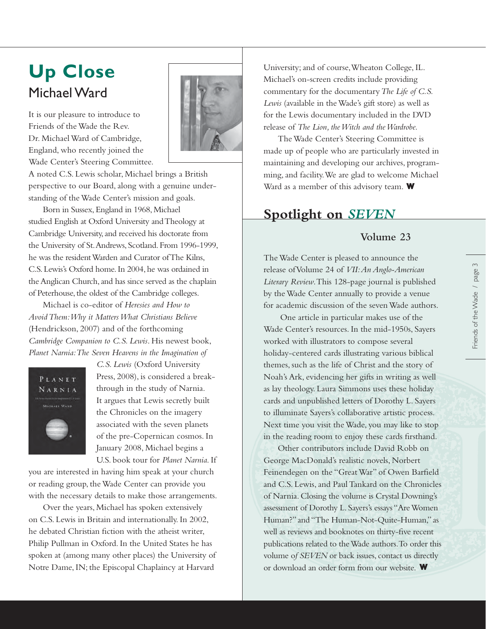# Michael Ward

It is our pleasure to introduce to Friends of the Wade the Rev. Dr. Michael Ward of Cambridge, England, who recently joined the Wade Center's Steering Committee.



A noted C.S. Lewis scholar, Michael brings a British perspective to our Board, along with a genuine understanding of the Wade Center's mission and goals.

Born in Sussex, England in 1968, Michael studied English at Oxford University and Theology at Cambridge University, and received his doctorate from the University of St. Andrews, Scotland. From 1996-1999, he was the resident Warden and Curator of The Kilns, C.S. Lewis's Oxford home. In 2004, he was ordained in the Anglican Church, and has since served as the chaplain of Peterhouse, the oldest of the Cambridge colleges.

Michael is co-editor of *Heresies and How to Avoid Them: Why it Matters What Christians Believe* (Hendrickson, 2007) and of the forthcoming *Cambridge Companion to C.S. Lewis*. His newest book, *Planet Narnia: The Seven Heavens in the Imagination of* 



*C.S. Lewis* (Oxford University Press, 2008), is considered a breakthrough in the study of Narnia. It argues that Lewis secretly built the Chronicles on the imagery associated with the seven planets of the pre-Copernican cosmos. In January 2008, Michael begins a U.S. book tour for *Planet Narnia*. If

you are interested in having him speak at your church or reading group, the Wade Center can provide you with the necessary details to make those arrangements.

Over the years, Michael has spoken extensively on C.S. Lewis in Britain and internationally. In 2002, he debated Christian fiction with the atheist writer, Philip Pullman in Oxford. In the United States he has spoken at (among many other places) the University of Notre Dame, IN; the Episcopal Chaplaincy at Harvard

Up Close University; and of course, Wheaton College, IL. Michael's on-screen credits include providing commentary for the documentary *The Life of C.S. Lewis* (available in the Wade's gift store) as well as for the Lewis documentary included in the DVD release of *The Lion, the Witch and the Wardrobe.*

> Ward as a member of this advisory team. W The Wade Center's Steering Committee is made up of people who are particularly invested in maintaining and developing our archives, programming, and facility. We are glad to welcome Michael

### **Spotlight on** *SEVEN*

#### **Volume 23**

The Wade Center is pleased to announce the release of Volume 24 of *VII: An Anglo-American Literary Review*. This 128-page journal is published by the Wade Center annually to provide a venue for academic discussion of the seven Wade authors.

 One article in particular makes use of the Wade Center's resources. In the mid-1950s, Sayers worked with illustrators to compose several holiday-centered cards illustrating various biblical themes, such as the life of Christ and the story of Noah's Ark, evidencing her gifts in writing as well as lay theology. Laura Simmons uses these holiday cards and unpublished letters of Dorothy L. Sayers to illuminate Sayers's collaborative artistic process. Next time you visit the Wade, you may like to stop in the reading room to enjoy these cards firsthand.

Other contributors include David Robb on George MacDonald's realistic novels, Norbert Feinendegen on the "Great War" of Owen Barfield and C.S. Lewis, and Paul Tankard on the Chronicles of Narnia. Closing the volume is Crystal Downing's assessment of Dorothy L. Sayers's essays "Are Women Human?" and "The Human-Not-Quite-Human," as well as reviews and booknotes on thirty-five recent publications related to the Wade authors. To order this volume o*f SEVEN* or back issues, contact us directly or download an order form from our website. **W**